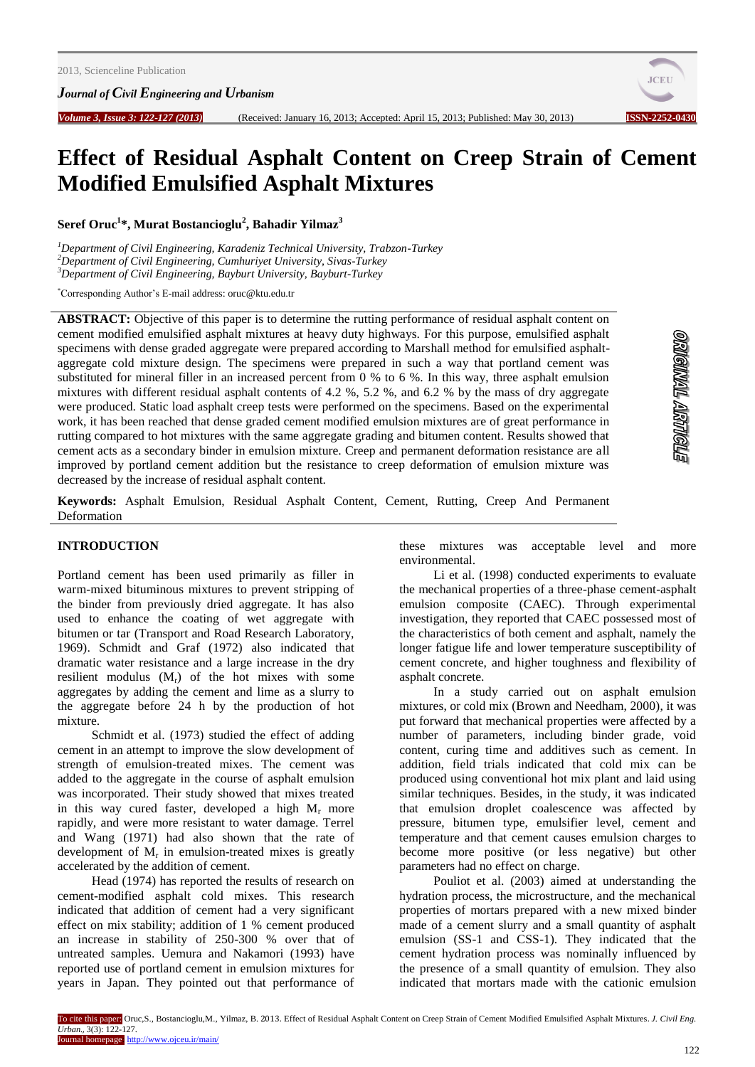*Journal of Civil Engineering and Urbanism*



# **Effect of Residual Asphalt Content on Creep Strain of Cement Modified Emulsified Asphalt Mixtures**

**Seref Oruc 1 \*, Murat Bostancioglu<sup>2</sup> , Bahadir Yilmaz<sup>3</sup>**

*<sup>1</sup>Department of Civil Engineering, Karadeniz Technical University, Trabzon-Turkey <sup>2</sup>Department of Civil Engineering, Cumhuriyet University, Sivas-Turkey <sup>3</sup>Department of Civil Engineering, Bayburt University, Bayburt-Turkey*

\*Corresponding Author's E-mail address: oruc@ktu.edu.tr

**ABSTRACT:** Objective of this paper is to determine the rutting performance of residual asphalt content on cement modified emulsified asphalt mixtures at heavy duty highways. For this purpose, emulsified asphalt specimens with dense graded aggregate were prepared according to Marshall method for emulsified asphaltaggregate cold mixture design. The specimens were prepared in such a way that portland cement was substituted for mineral filler in an increased percent from 0 % to 6 %. In this way, three asphalt emulsion mixtures with different residual asphalt contents of 4.2 %, 5.2 %, and 6.2 % by the mass of dry aggregate were produced. Static load asphalt creep tests were performed on the specimens. Based on the experimental work, it has been reached that dense graded cement modified emulsion mixtures are of great performance in rutting compared to hot mixtures with the same aggregate grading and bitumen content. Results showed that cement acts as a secondary binder in emulsion mixture. Creep and permanent deformation resistance are all improved by portland cement addition but the resistance to creep deformation of emulsion mixture was decreased by the increase of residual asphalt content.

**Keywords:** Asphalt Emulsion, Residual Asphalt Content, Cement, Rutting, Creep And Permanent Deformation

#### **INTRODUCTION**

Portland cement has been used primarily as filler in warm-mixed bituminous mixtures to prevent stripping of the binder from previously dried aggregate. It has also used to enhance the coating of wet aggregate with bitumen or tar (Transport and Road Research Laboratory, 1969). Schmidt and Graf (1972) also indicated that dramatic water resistance and a large increase in the dry resilient modulus  $(M_r)$  of the hot mixes with some aggregates by adding the cement and lime as a slurry to the aggregate before 24 h by the production of hot mixture.

Schmidt et al. (1973) studied the effect of adding cement in an attempt to improve the slow development of strength of emulsion-treated mixes. The cement was added to the aggregate in the course of asphalt emulsion was incorporated. Their study showed that mixes treated in this way cured faster, developed a high  $M_r$  more rapidly, and were more resistant to water damage. Terrel and Wang (1971) had also shown that the rate of development of  $M_r$  in emulsion-treated mixes is greatly accelerated by the addition of cement.

Head (1974) has reported the results of research on cement-modified asphalt cold mixes. This research indicated that addition of cement had a very significant effect on mix stability; addition of 1 % cement produced an increase in stability of 250-300 % over that of untreated samples. Uemura and Nakamori (1993) have reported use of portland cement in emulsion mixtures for years in Japan. They pointed out that performance of these mixtures was acceptable level and more environmental.

Li et al. (1998) conducted experiments to evaluate the mechanical properties of a three-phase cement-asphalt emulsion composite (CAEC). Through experimental investigation, they reported that CAEC possessed most of the characteristics of both cement and asphalt, namely the longer fatigue life and lower temperature susceptibility of cement concrete, and higher toughness and flexibility of asphalt concrete.

In a study carried out on asphalt emulsion mixtures, or cold mix (Brown and Needham, 2000), it was put forward that mechanical properties were affected by a number of parameters, including binder grade, void content, curing time and additives such as cement. In addition, field trials indicated that cold mix can be produced using conventional hot mix plant and laid using similar techniques. Besides, in the study, it was indicated that emulsion droplet coalescence was affected by pressure, bitumen type, emulsifier level, cement and temperature and that cement causes emulsion charges to become more positive (or less negative) but other parameters had no effect on charge.

Pouliot et al. (2003) aimed at understanding the hydration process, the microstructure, and the mechanical properties of mortars prepared with a new mixed binder made of a cement slurry and a small quantity of asphalt emulsion (SS-1 and CSS-1). They indicated that the cement hydration process was nominally influenced by the presence of a small quantity of emulsion. They also indicated that mortars made with the cationic emulsion

To cite this paper: Oruc,S., Bostancioglu,M., Yilmaz, B. 2013. Effect of Residual Asphalt Content on Creep Strain of Cement Modified Emulsified Asphalt Mixtures. *J. Civil Eng. Urban.,* 3(3): 122-127. Journal homepage: http://www.ojceu.ir/main/

**STROILLETY TIMMOILS**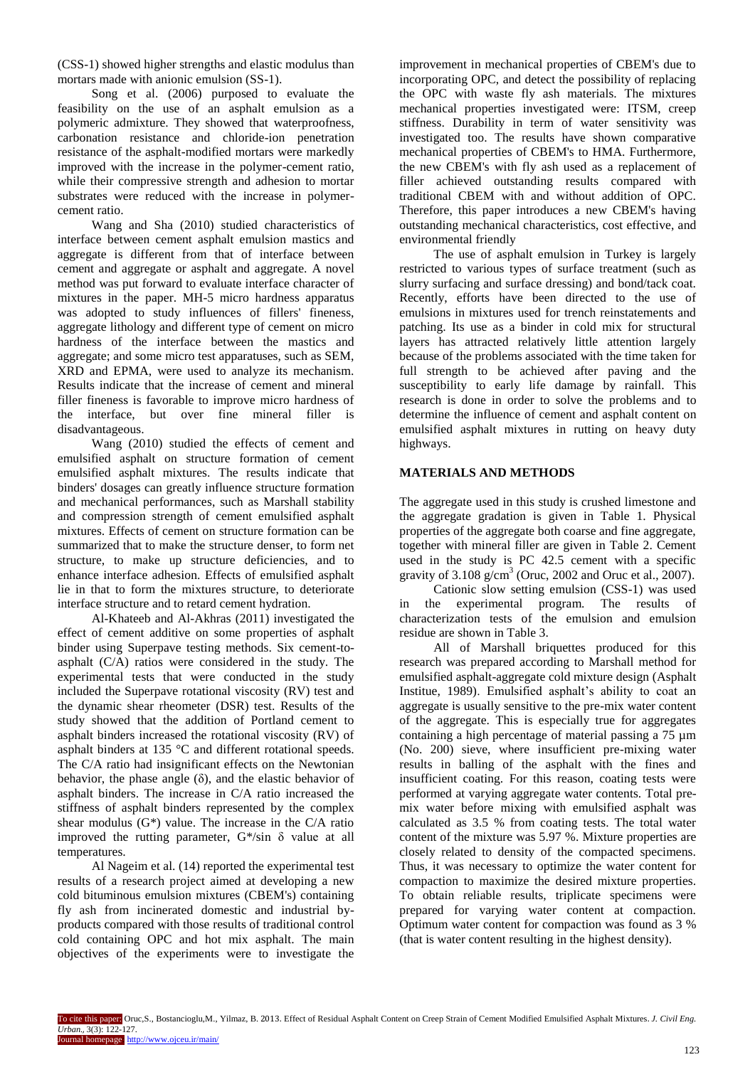(CSS-1) showed higher strengths and elastic modulus than mortars made with anionic emulsion (SS-1).

Song et al. (2006) purposed to evaluate the feasibility on the use of an asphalt emulsion as a polymeric admixture. They showed that waterproofness, carbonation resistance and chloride-ion penetration resistance of the asphalt-modified mortars were markedly improved with the increase in the polymer-cement ratio, while their compressive strength and adhesion to mortar substrates were reduced with the increase in polymercement ratio.

Wang and Sha (2010) studied characteristics of interface between cement asphalt emulsion mastics and aggregate is different from that of interface between cement and aggregate or asphalt and aggregate. A novel method was put forward to evaluate interface character of mixtures in the paper. MH-5 micro hardness apparatus was adopted to study influences of fillers' fineness, aggregate lithology and different type of cement on micro hardness of the interface between the mastics and aggregate; and some micro test apparatuses, such as SEM, XRD and EPMA, were used to analyze its mechanism. Results indicate that the increase of cement and mineral filler fineness is favorable to improve micro hardness of the interface, but over fine mineral filler is disadvantageous.

Wang (2010) studied the effects of cement and emulsified asphalt on structure formation of cement emulsified asphalt mixtures. The results indicate that binders' dosages can greatly influence structure formation and mechanical performances, such as Marshall stability and compression strength of cement emulsified asphalt mixtures. Effects of cement on structure formation can be summarized that to make the structure denser, to form net structure, to make up structure deficiencies, and to enhance interface adhesion. Effects of emulsified asphalt lie in that to form the mixtures structure, to deteriorate interface structure and to retard cement hydration.

[Al-Khateeb](http://apps.webofknowledge.com/OneClickSearch.do?product=UA&search_mode=OneClickSearch&colName=WOS&SID=S233P4@jnAjjOAhJCGh&field=AU&value=Al-Khateeb,%20GG&cacheurlFromRightClick=no) and [Al-Akhras](http://apps.webofknowledge.com/OneClickSearch.do?product=UA&search_mode=OneClickSearch&colName=WOS&SID=S233P4@jnAjjOAhJCGh&field=AU&value=Al-Akhras,%20NM&cacheurlFromRightClick=no) (2011) investigated the effect of cement additive on some properties of asphalt binder using Superpave testing methods. Six cement-toasphalt (C/A) ratios were considered in the study. The experimental tests that were conducted in the study included the Superpave rotational viscosity (RV) test and the dynamic shear rheometer (DSR) test. Results of the study showed that the addition of Portland cement to asphalt binders increased the rotational viscosity (RV) of asphalt binders at 135 °C and different rotational speeds. The C/A ratio had insignificant effects on the Newtonian behavior, the phase angle  $(\delta)$ , and the elastic behavior of asphalt binders. The increase in C/A ratio increased the stiffness of asphalt binders represented by the complex shear modulus  $(G^*)$  value. The increase in the C/A ratio improved the rutting parameter,  $G^*$ /sin  $\delta$  value at all temperatures.

[Al Nageim](http://apps.webofknowledge.com/OneClickSearch.do?product=UA&search_mode=OneClickSearch&colName=WOS&SID=S233P4@jnAjjOAhJCGh&field=AU&value=Al%20Nageim,%20H&cacheurlFromRightClick=no) et al. (14) reported the experimental test results of a research project aimed at developing a new cold bituminous emulsion mixtures (CBEM's) containing fly ash from incinerated domestic and industrial byproducts compared with those results of traditional control cold containing OPC and hot mix asphalt. The main objectives of the experiments were to investigate the

improvement in mechanical properties of CBEM's due to incorporating OPC, and detect the possibility of replacing the OPC with waste fly ash materials. The mixtures mechanical properties investigated were: ITSM, creep stiffness. Durability in term of water sensitivity was investigated too. The results have shown comparative mechanical properties of CBEM's to HMA. Furthermore, the new CBEM's with fly ash used as a replacement of filler achieved outstanding results compared with traditional CBEM with and without addition of OPC. Therefore, this paper introduces a new CBEM's having outstanding mechanical characteristics, cost effective, and environmental friendly

The use of asphalt emulsion in Turkey is largely restricted to various types of surface treatment (such as slurry surfacing and surface dressing) and bond/tack coat. Recently, efforts have been directed to the use of emulsions in mixtures used for trench reinstatements and patching. Its use as a binder in cold mix for structural layers has attracted relatively little attention largely because of the problems associated with the time taken for full strength to be achieved after paving and the susceptibility to early life damage by rainfall. This research is done in order to solve the problems and to determine the influence of cement and asphalt content on emulsified asphalt mixtures in rutting on heavy duty highways.

## **MATERIALS AND METHODS**

The aggregate used in this study is crushed limestone and the aggregate gradation is given in Table 1. Physical properties of the aggregate both coarse and fine aggregate, together with mineral filler are given in Table 2. Cement used in the study is PC 42.5 cement with a specific gravity of  $3.108 \text{ g/cm}^3$  (Oruc, 2002 and Oruc et al., 2007).

Cationic slow setting emulsion (CSS-1) was used in the experimental program. The results of characterization tests of the emulsion and emulsion residue are shown in Table 3.

All of Marshall briquettes produced for this research was prepared according to Marshall method for emulsified asphalt-aggregate cold mixture design (Asphalt Institue, 1989). Emulsified asphalt's ability to coat an aggregate is usually sensitive to the pre-mix water content of the aggregate. This is especially true for aggregates containing a high percentage of material passing a 75 µm (No. 200) sieve, where insufficient pre-mixing water results in balling of the asphalt with the fines and insufficient coating. For this reason, coating tests were performed at varying aggregate water contents. Total premix water before mixing with emulsified asphalt was calculated as 3.5 % from coating tests. The total water content of the mixture was 5.97 %. Mixture properties are closely related to density of the compacted specimens. Thus, it was necessary to optimize the water content for compaction to maximize the desired mixture properties. To obtain reliable results, triplicate specimens were prepared for varying water content at compaction. Optimum water content for compaction was found as 3 % (that is water content resulting in the highest density).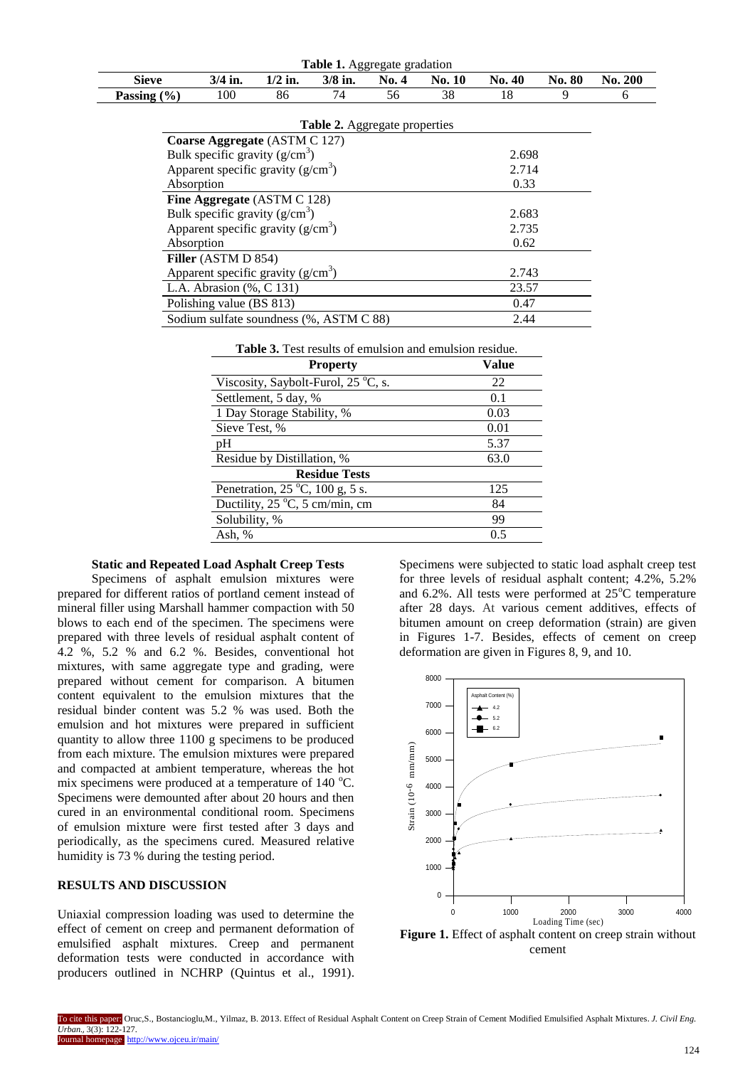| <b>Table 1.</b> Aggregate gradation     |                               |           |                                      |       |               |               |               |                |  |
|-----------------------------------------|-------------------------------|-----------|--------------------------------------|-------|---------------|---------------|---------------|----------------|--|
| <b>Sieve</b>                            | $3/4$ in.                     | $1/2$ in. | $3/8$ in.                            | No. 4 | <b>No. 10</b> | <b>No. 40</b> | <b>No. 80</b> | <b>No. 200</b> |  |
| Passing $(\% )$                         | 100                           | 86        | 74                                   | 56    | 38            | 18            | 9             | 6              |  |
|                                         |                               |           |                                      |       |               |               |               |                |  |
|                                         |                               |           | <b>Table 2.</b> Aggregate properties |       |               |               |               |                |  |
|                                         | Coarse Aggregate (ASTM C 127) |           |                                      |       |               |               |               |                |  |
| Bulk specific gravity $(g/cm^3)$        |                               |           |                                      |       | 2.698         |               |               |                |  |
| Apparent specific gravity $(g/cm3)$     |                               |           |                                      |       | 2.714         |               |               |                |  |
| Absorption                              |                               |           |                                      |       | 0.33          |               |               |                |  |
|                                         | Fine Aggregate (ASTM C 128)   |           |                                      |       |               |               |               |                |  |
| Bulk specific gravity $(g/cm^3)$        |                               |           |                                      |       | 2.683         |               |               |                |  |
| Apparent specific gravity $(g/cm3)$     |                               |           |                                      |       | 2.735         |               |               |                |  |
| Absorption                              |                               |           |                                      |       | 0.62          |               |               |                |  |
|                                         | Filler (ASTM D 854)           |           |                                      |       |               |               |               |                |  |
| Apparent specific gravity $(g/cm3)$     |                               |           |                                      |       | 2.743         |               |               |                |  |
| L.A. Abrasion (%, C 131)                |                               |           |                                      |       | 23.57         |               |               |                |  |
| Polishing value (BS 813)                |                               |           |                                      |       |               | 0.47          |               |                |  |
| Sodium sulfate soundness (%, ASTM C 88) |                               |           |                                      |       |               | 2.44          |               |                |  |

**Table 3.** Test results of emulsion and emulsion residue.

| <b>Property</b>                                            | Value |
|------------------------------------------------------------|-------|
| Viscosity, Saybolt-Furol, 25 °C, s.                        | 22    |
| Settlement, 5 day, %                                       | 0.1   |
| 1 Day Storage Stability, %                                 | 0.03  |
| Sieve Test, %                                              | 0.01  |
| pH                                                         | 5.37  |
| Residue by Distillation, %                                 | 63.0  |
| <b>Residue Tests</b>                                       |       |
| Penetration, $25^{\circ}$ C, $100 \text{ g}, 5 \text{ s}.$ | 125   |
| Ductility, $25^{\circ}$ C, 5 cm/min, cm                    | 84    |
| Solubility, %                                              | 99    |
| Ash, %                                                     | 0.5   |

#### **Static and Repeated Load Asphalt Creep Tests**

Specimens of asphalt emulsion mixtures were prepared for different ratios of portland cement instead of mineral filler using Marshall hammer compaction with 50 blows to each end of the specimen. The specimens were prepared with three levels of residual asphalt content of 4.2 %, 5.2 % and 6.2 %. Besides, conventional hot mixtures, with same aggregate type and grading, were prepared without cement for comparison. A bitumen content equivalent to the emulsion mixtures that the residual binder content was 5.2 % was used. Both the emulsion and hot mixtures were prepared in sufficient quantity to allow three 1100 g specimens to be produced from each mixture. The emulsion mixtures were prepared and compacted at ambient temperature, whereas the hot mix specimens were produced at a temperature of  $140^{\circ}$ C. Specimens were demounted after about 20 hours and then cured in an environmental conditional room. Specimens of emulsion mixture were first tested after 3 days and periodically, as the specimens cured. Measured relative humidity is 73 % during the testing period.

#### **RESULTS AND DISCUSSION**

Uniaxial compression loading was used to determine the effect of cement on creep and permanent deformation of emulsified asphalt mixtures. Creep and permanent deformation tests were conducted in accordance with producers outlined in NCHRP (Quintus et al., 1991).

Specimens were subjected to static load asphalt creep test for three levels of residual asphalt content; 4.2%, 5.2% and  $6.2\%$ . All tests were performed at  $25\degree$ C temperature after 28 days. At various cement additives, effects of bitumen amount on creep deformation (strain) are given in Figures 1-7. Besides, effects of cement on creep deformation are given in Figures 8, 9, and 10.



cement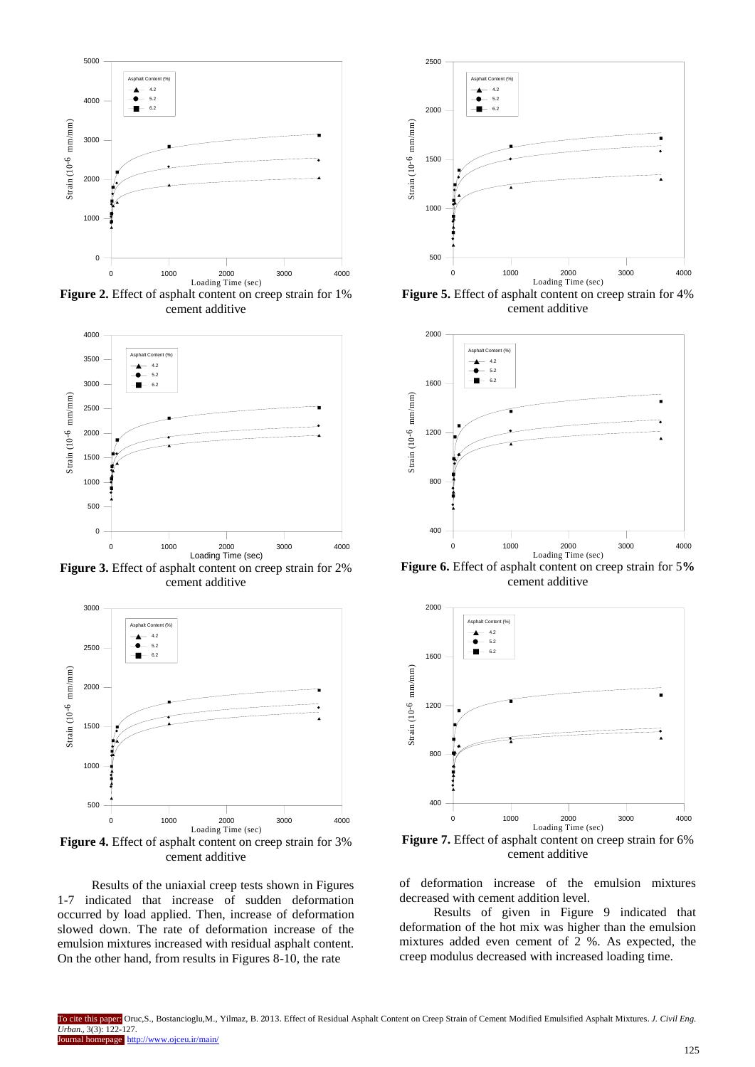

**Figure 2.** Effect of asphalt content on creep strain for 1% cement additive



**Figure 3.** Effect of asphalt content on creep strain for 2% cement additive



**Figure 4.** Effect of asphalt content on creep strain for 3% cement additive

Results of the uniaxial creep tests shown in Figures 1-7 indicated that increase of sudden deformation occurred by load applied. Then, increase of deformation slowed down. The rate of deformation increase of the emulsion mixtures increased with residual asphalt content. On the other hand, from results in Figures 8-10, the rate



**Figure 5.** Effect of asphalt content on creep strain for 4% cement additive



**Figure 6.** Effect of asphalt content on creep strain for 5**%**  cement additive



**Figure 7.** Effect of asphalt content on creep strain for 6% cement additive

of deformation increase of the emulsion mixtures decreased with cement addition level.

Results of given in Figure 9 indicated that deformation of the hot mix was higher than the emulsion mixtures added even cement of 2 %. As expected, the creep modulus decreased with increased loading time.

To cite this paper: Oruc,S., Bostancioglu,M., Yilmaz, B. 2013. Effect of Residual Asphalt Content on Creep Strain of Cement Modified Emulsified Asphalt Mixtures. *J. Civil Eng. Urban.,* 3(3): 122-127. rnal homepage: http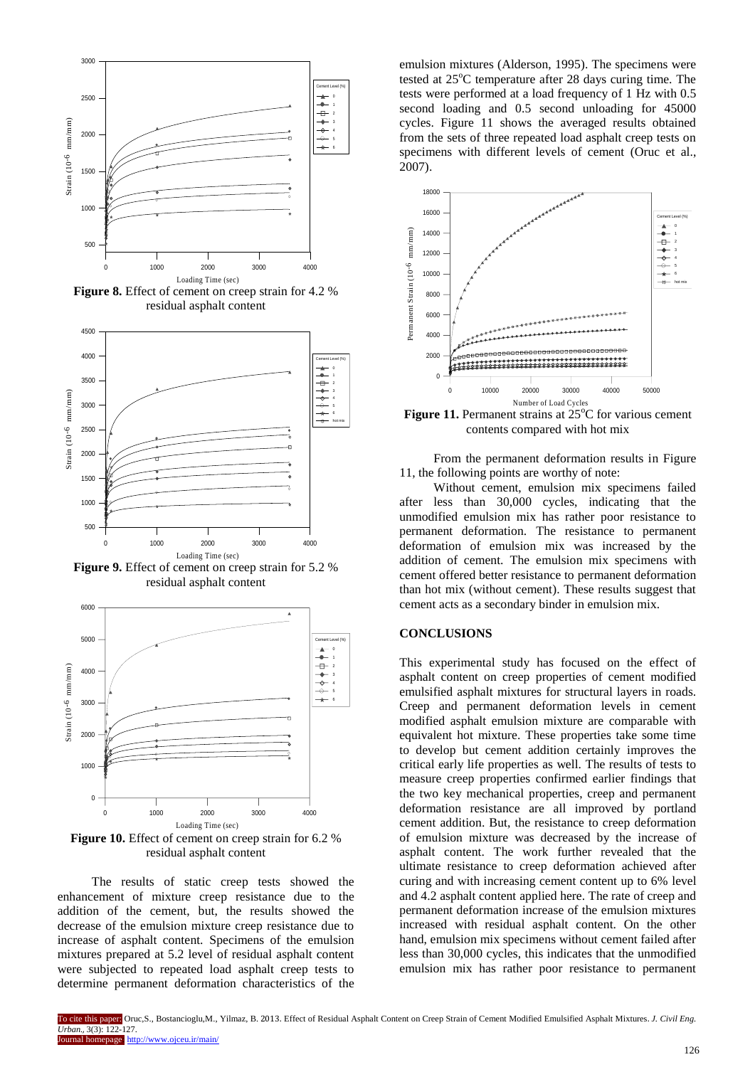

**Figure 8.** Effect of cement on creep strain for 4.2 % residual asphalt content



**Figure 9.** Effect of cement on creep strain for 5.2 % residual asphalt content



**Figure 10.** Effect of cement on creep strain for 6.2 % residual asphalt content

The results of static creep tests showed the enhancement of mixture creep resistance due to the addition of the cement, but, the results showed the decrease of the emulsion mixture creep resistance due to increase of asphalt content. Specimens of the emulsion mixtures prepared at 5.2 level of residual asphalt content were subjected to repeated load asphalt creep tests to determine permanent deformation characteristics of the

emulsion mixtures (Alderson, 1995). The specimens were tested at  $25^{\circ}$ C temperature after 28 days curing time. The tests were performed at a load frequency of 1 Hz with 0.5 second loading and 0.5 second unloading for 45000 cycles. Figure 11 shows the averaged results obtained from the sets of three repeated load asphalt creep tests on specimens with different levels of cement (Oruc et al., 2007).



**Figure 11.** Permanent strains at 25<sup>o</sup>C for various cement contents compared with hot mix

From the permanent deformation results in Figure 11, the following points are worthy of note:

Without cement, emulsion mix specimens failed after less than 30,000 cycles, indicating that the unmodified emulsion mix has rather poor resistance to permanent deformation. The resistance to permanent deformation of emulsion mix was increased by the addition of cement. The emulsion mix specimens with cement offered better resistance to permanent deformation than hot mix (without cement). These results suggest that cement acts as a secondary binder in emulsion mix.

### **CONCLUSIONS**

This experimental study has focused on the effect of asphalt content on creep properties of cement modified emulsified asphalt mixtures for structural layers in roads. Creep and permanent deformation levels in cement modified asphalt emulsion mixture are comparable with equivalent hot mixture. These properties take some time to develop but cement addition certainly improves the critical early life properties as well. The results of tests to measure creep properties confirmed earlier findings that the two key mechanical properties, creep and permanent deformation resistance are all improved by portland cement addition. But, the resistance to creep deformation of emulsion mixture was decreased by the increase of asphalt content. The work further revealed that the ultimate resistance to creep deformation achieved after curing and with increasing cement content up to 6% level and 4.2 asphalt content applied here. The rate of creep and permanent deformation increase of the emulsion mixtures increased with residual asphalt content. On the other hand, emulsion mix specimens without cement failed after less than 30,000 cycles, this indicates that the unmodified emulsion mix has rather poor resistance to permanent

To cite this paper: Oruc,S., Bostancioglu,M., Yilmaz, B. 2013. Effect of Residual Asphalt Content on Creep Strain of Cement Modified Emulsified Asphalt Mixtures. *J. Civil Eng. Urban.,* 3(3): 122-127. rnal homepage: http://